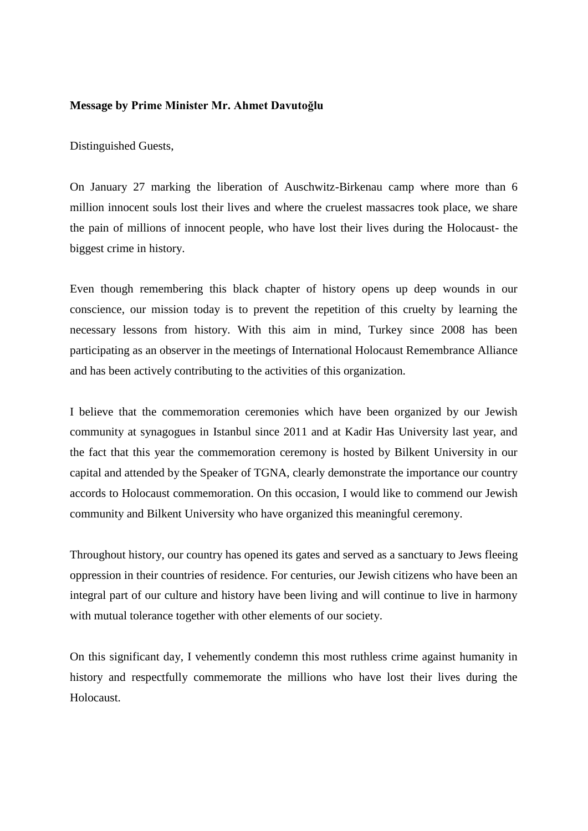### **Message by Prime Minister Mr. Ahmet Davutoğlu**

Distinguished Guests,

On January 27 marking the liberation of Auschwitz-Birkenau camp where more than 6 million innocent souls lost their lives and where the cruelest massacres took place, we share the pain of millions of innocent people, who have lost their lives during the Holocaust- the biggest crime in history.

Even though remembering this black chapter of history opens up deep wounds in our conscience, our mission today is to prevent the repetition of this cruelty by learning the necessary lessons from history. With this aim in mind, Turkey since 2008 has been participating as an observer in the meetings of International Holocaust Remembrance Alliance and has been actively contributing to the activities of this organization.

I believe that the commemoration ceremonies which have been organized by our Jewish community at synagogues in Istanbul since 2011 and at Kadir Has University last year, and the fact that this year the commemoration ceremony is hosted by Bilkent University in our capital and attended by the Speaker of TGNA, clearly demonstrate the importance our country accords to Holocaust commemoration. On this occasion, I would like to commend our Jewish community and Bilkent University who have organized this meaningful ceremony.

Throughout history, our country has opened its gates and served as a sanctuary to Jews fleeing oppression in their countries of residence. For centuries, our Jewish citizens who have been an integral part of our culture and history have been living and will continue to live in harmony with mutual tolerance together with other elements of our society.

On this significant day, I vehemently condemn this most ruthless crime against humanity in history and respectfully commemorate the millions who have lost their lives during the Holocaust.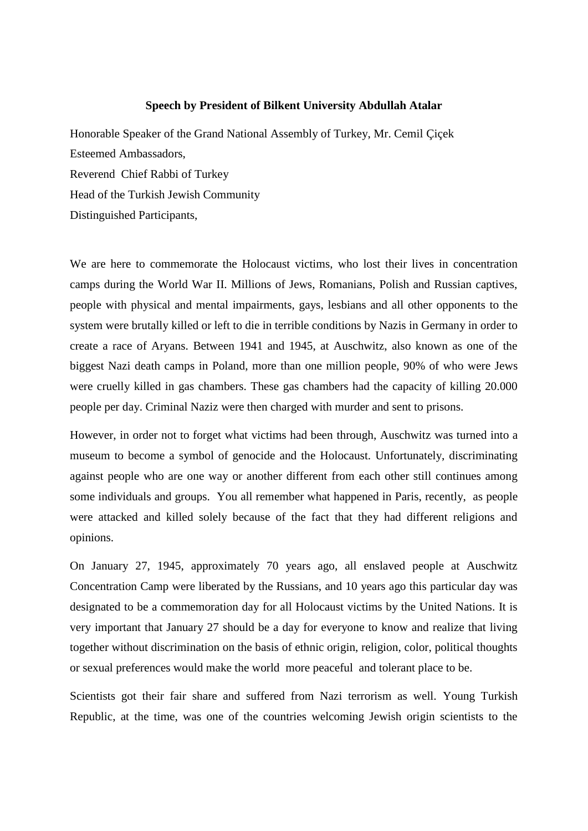#### **Speech by President of Bilkent University Abdullah Atalar**

Honorable Speaker of the Grand National Assembly of Turkey, Mr. Cemil Çiçek Esteemed Ambassadors, Reverend Chief Rabbi of Turkey Head of the Turkish Jewish Community Distinguished Participants,

We are here to commemorate the Holocaust victims, who lost their lives in concentration camps during the World War II. Millions of Jews, Romanians, Polish and Russian captives, people with physical and mental impairments, gays, lesbians and all other opponents to the system were brutally killed or left to die in terrible conditions by Nazis in Germany in order to create a race of Aryans. Between 1941 and 1945, at Auschwitz, also known as one of the biggest Nazi death camps in Poland, more than one million people, 90% of who were Jews were cruelly killed in gas chambers. These gas chambers had the capacity of killing 20.000 people per day. Criminal Naziz were then charged with murder and sent to prisons.

However, in order not to forget what victims had been through, Auschwitz was turned into a museum to become a symbol of genocide and the Holocaust. Unfortunately, discriminating against people who are one way or another different from each other still continues among some individuals and groups. You all remember what happened in Paris, recently, as people were attacked and killed solely because of the fact that they had different religions and opinions.

On January 27, 1945, approximately 70 years ago, all enslaved people at Auschwitz Concentration Camp were liberated by the Russians, and 10 years ago this particular day was designated to be a commemoration day for all Holocaust victims by the United Nations. It is very important that January 27 should be a day for everyone to know and realize that living together without discrimination on the basis of ethnic origin, religion, color, political thoughts or sexual preferences would make the world more peaceful and tolerant place to be.

Scientists got their fair share and suffered from Nazi terrorism as well. Young Turkish Republic, at the time, was one of the countries welcoming Jewish origin scientists to the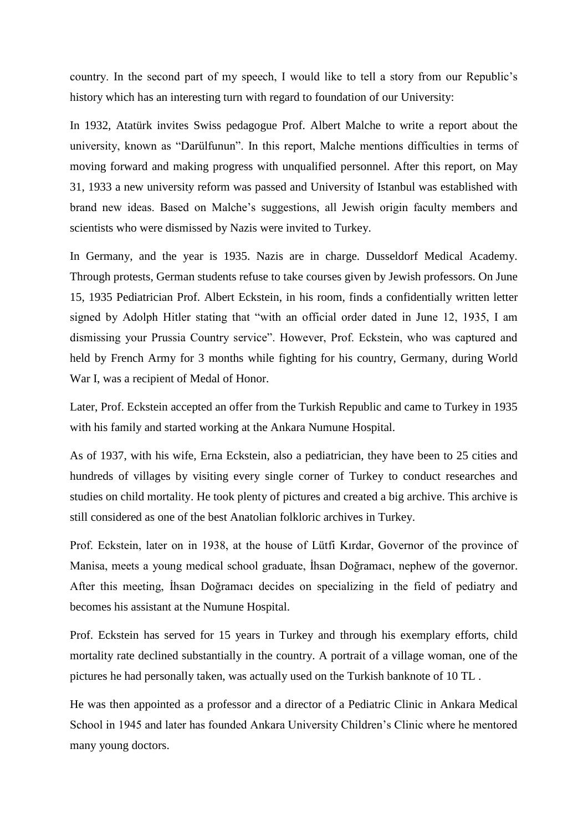country. In the second part of my speech, I would like to tell a story from our Republic's history which has an interesting turn with regard to foundation of our University:

In 1932, Atatürk invites Swiss pedagogue Prof. Albert Malche to write a report about the university, known as "Darülfunun". In this report, Malche mentions difficulties in terms of moving forward and making progress with unqualified personnel. After this report, on May 31, 1933 a new university reform was passed and University of Istanbul was established with brand new ideas. Based on Malche's suggestions, all Jewish origin faculty members and scientists who were dismissed by Nazis were invited to Turkey.

In Germany, and the year is 1935. Nazis are in charge. Dusseldorf Medical Academy. Through protests, German students refuse to take courses given by Jewish professors. On June 15, 1935 Pediatrician Prof. Albert Eckstein, in his room, finds a confidentially written letter signed by Adolph Hitler stating that "with an official order dated in June 12, 1935, I am dismissing your Prussia Country service". However, Prof. Eckstein, who was captured and held by French Army for 3 months while fighting for his country, Germany, during World War I, was a recipient of Medal of Honor.

Later, Prof. Eckstein accepted an offer from the Turkish Republic and came to Turkey in 1935 with his family and started working at the Ankara Numune Hospital.

As of 1937, with his wife, Erna Eckstein, also a pediatrician, they have been to 25 cities and hundreds of villages by visiting every single corner of Turkey to conduct researches and studies on child mortality. He took plenty of pictures and created a big archive. This archive is still considered as one of the best Anatolian folkloric archives in Turkey.

Prof. Eckstein, later on in 1938, at the house of Lütfi Kırdar, Governor of the province of Manisa, meets a young medical school graduate, İhsan Doğramacı, nephew of the governor. After this meeting, İhsan Doğramacı decides on specializing in the field of pediatry and becomes his assistant at the Numune Hospital.

Prof. Eckstein has served for 15 years in Turkey and through his exemplary efforts, child mortality rate declined substantially in the country. A portrait of a village woman, one of the pictures he had personally taken, was actually used on the Turkish banknote of 10 TL .

He was then appointed as a professor and a director of a Pediatric Clinic in Ankara Medical School in 1945 and later has founded Ankara University Children's Clinic where he mentored many young doctors.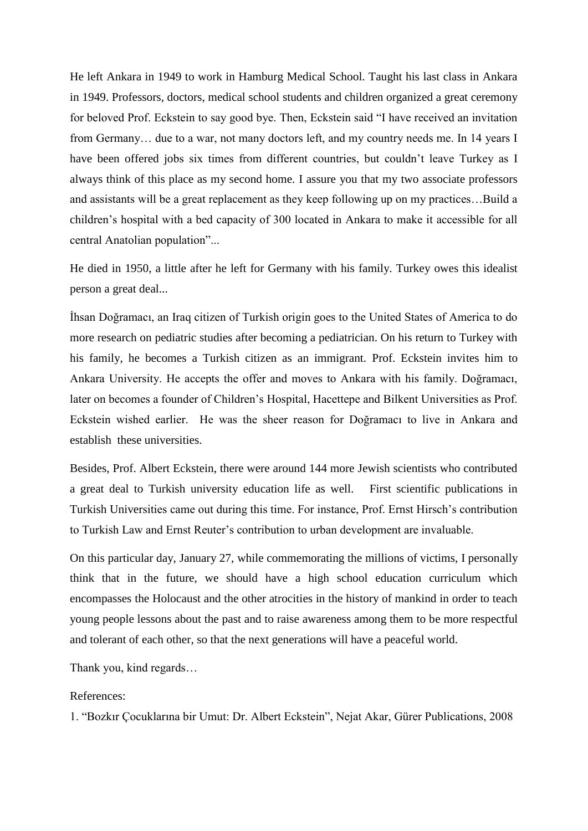He left Ankara in 1949 to work in Hamburg Medical School. Taught his last class in Ankara in 1949. Professors, doctors, medical school students and children organized a great ceremony for beloved Prof. Eckstein to say good bye. Then, Eckstein said "I have received an invitation from Germany… due to a war, not many doctors left, and my country needs me. In 14 years I have been offered jobs six times from different countries, but couldn't leave Turkey as I always think of this place as my second home. I assure you that my two associate professors and assistants will be a great replacement as they keep following up on my practices…Build a children's hospital with a bed capacity of 300 located in Ankara to make it accessible for all central Anatolian population"...

He died in 1950, a little after he left for Germany with his family. Turkey owes this idealist person a great deal...

İhsan Doğramacı, an Iraq citizen of Turkish origin goes to the United States of America to do more research on pediatric studies after becoming a pediatrician. On his return to Turkey with his family, he becomes a Turkish citizen as an immigrant. Prof. Eckstein invites him to Ankara University. He accepts the offer and moves to Ankara with his family. Doğramacı, later on becomes a founder of Children's Hospital, Hacettepe and Bilkent Universities as Prof. Eckstein wished earlier. He was the sheer reason for Doğramacı to live in Ankara and establish these universities.

Besides, Prof. Albert Eckstein, there were around 144 more Jewish scientists who contributed a great deal to Turkish university education life as well. First scientific publications in Turkish Universities came out during this time. For instance, Prof. Ernst Hirsch's contribution to Turkish Law and Ernst Reuter's contribution to urban development are invaluable.

On this particular day, January 27, while commemorating the millions of victims, I personally think that in the future, we should have a high school education curriculum which encompasses the Holocaust and the other atrocities in the history of mankind in order to teach young people lessons about the past and to raise awareness among them to be more respectful and tolerant of each other, so that the next generations will have a peaceful world.

Thank you, kind regards…

## References:

1. "Bozkır Çocuklarına bir Umut: Dr. Albert Eckstein", Nejat Akar, Gürer Publications, 2008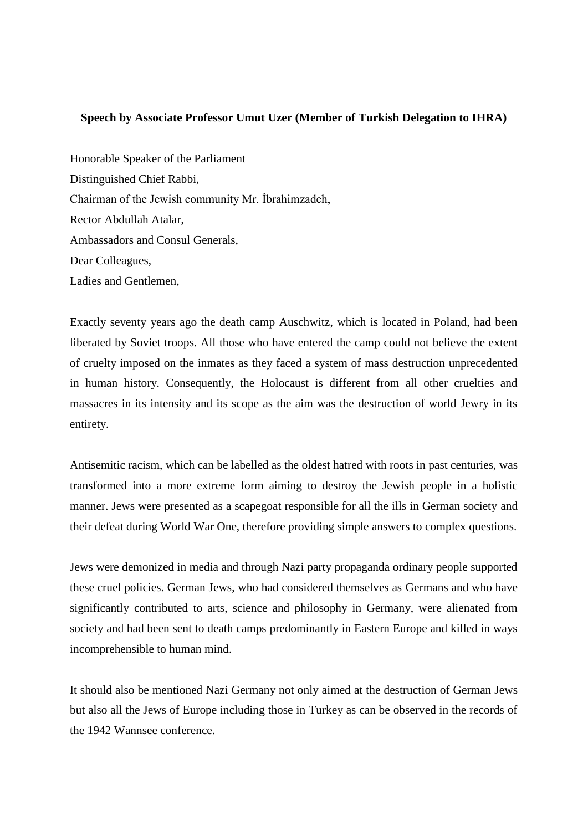## **Speech by Associate Professor Umut Uzer (Member of Turkish Delegation to IHRA)**

Honorable Speaker of the Parliament Distinguished Chief Rabbi, Chairman of the Jewish community Mr. İbrahimzadeh, Rector Abdullah Atalar, Ambassadors and Consul Generals, Dear Colleagues, Ladies and Gentlemen,

Exactly seventy years ago the death camp Auschwitz, which is located in Poland, had been liberated by Soviet troops. All those who have entered the camp could not believe the extent of cruelty imposed on the inmates as they faced a system of mass destruction unprecedented in human history. Consequently, the Holocaust is different from all other cruelties and massacres in its intensity and its scope as the aim was the destruction of world Jewry in its entirety.

Antisemitic racism, which can be labelled as the oldest hatred with roots in past centuries, was transformed into a more extreme form aiming to destroy the Jewish people in a holistic manner. Jews were presented as a scapegoat responsible for all the ills in German society and their defeat during World War One, therefore providing simple answers to complex questions.

Jews were demonized in media and through Nazi party propaganda ordinary people supported these cruel policies. German Jews, who had considered themselves as Germans and who have significantly contributed to arts, science and philosophy in Germany, were alienated from society and had been sent to death camps predominantly in Eastern Europe and killed in ways incomprehensible to human mind.

It should also be mentioned Nazi Germany not only aimed at the destruction of German Jews but also all the Jews of Europe including those in Turkey as can be observed in the records of the 1942 Wannsee conference.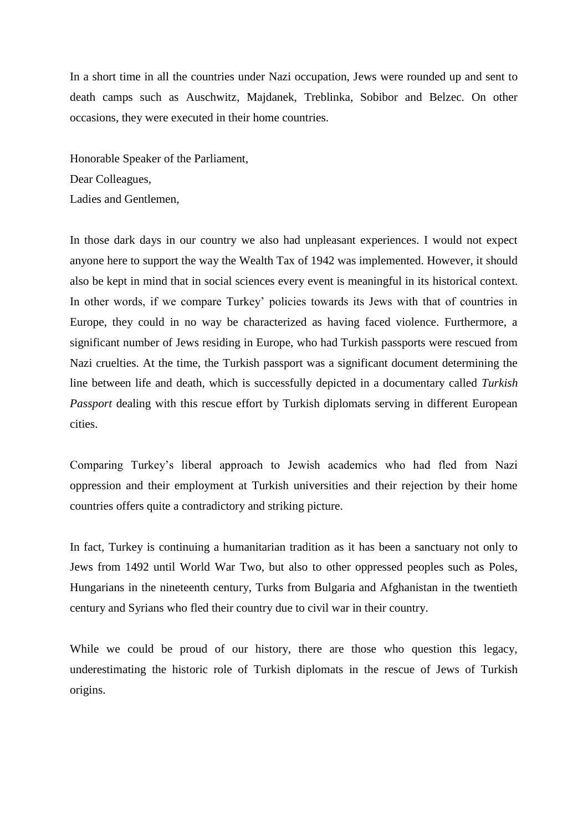In a short time in all the countries under Nazi occupation, Jews were rounded up and sent to death camps such as Auschwitz, Majdanek, Treblinka, Sobibor and Belzec. On other occasions, they were executed in their home countries.

Honorable Speaker of the Parliament, Dear Colleagues, Ladies and Gentlemen,

In those dark days in our country we also had unpleasant experiences. I would not expect anyone here to support the way the Wealth Tax of 1942 was implemented. However, it should also be kept in mind that in social sciences every event is meaningful in its historical context. In other words, if we compare Turkey' policies towards its Jews with that of countries in Europe, they could in no way be characterized as having faced violence. Furthermore, a significant number of Jews residing in Europe, who had Turkish passports were rescued from Nazi cruelties. At the time, the Turkish passport was a significant document determining the line between life and death, which is successfully depicted in a documentary called *Turkish Passport* dealing with this rescue effort by Turkish diplomats serving in different European cities.

Comparing Turkey's liberal approach to Jewish academics who had fled from Nazi oppression and their employment at Turkish universities and their rejection by their home countries offers quite a contradictory and striking picture.

In fact, Turkey is continuing a humanitarian tradition as it has been a sanctuary not only to Jews from 1492 until World War Two, but also to other oppressed peoples such as Poles, Hungarians in the nineteenth century, Turks from Bulgaria and Afghanistan in the twentieth century and Syrians who fled their country due to civil war in their country.

While we could be proud of our history, there are those who question this legacy, underestimating the historic role of Turkish diplomats in the rescue of Jews of Turkish origins.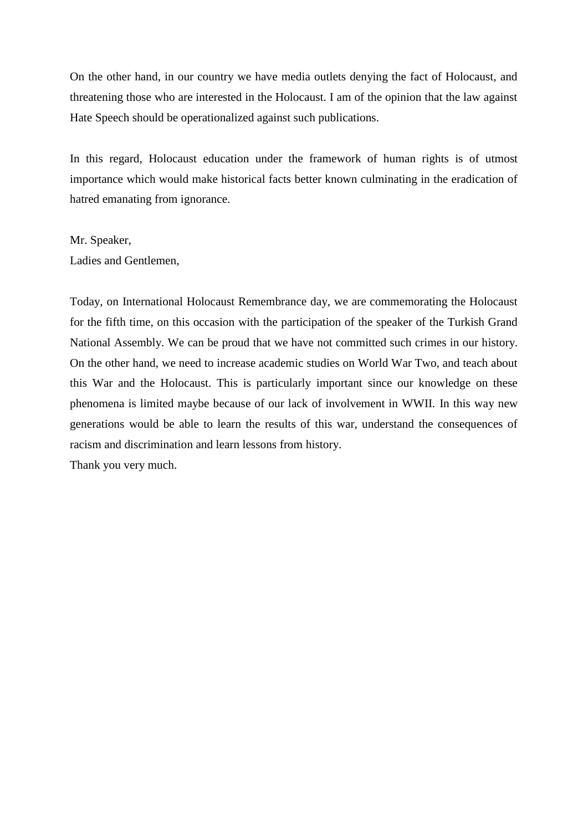On the other hand, in our country we have media outlets denying the fact of Holocaust, and threatening those who are interested in the Holocaust. I am of the opinion that the law against Hate Speech should be operationalized against such publications.

In this regard, Holocaust education under the framework of human rights is of utmost importance which would make historical facts better known culminating in the eradication of hatred emanating from ignorance.

# Mr. Speaker, Ladies and Gentlemen,

Today, on International Holocaust Remembrance day, we are commemorating the Holocaust for the fifth time, on this occasion with the participation of the speaker of the Turkish Grand National Assembly. We can be proud that we have not committed such crimes in our history. On the other hand, we need to increase academic studies on World War Two, and teach about this War and the Holocaust. This is particularly important since our knowledge on these phenomena is limited maybe because of our lack of involvement in WWII. In this way new generations would be able to learn the results of this war, understand the consequences of racism and discrimination and learn lessons from history.

Thank you very much.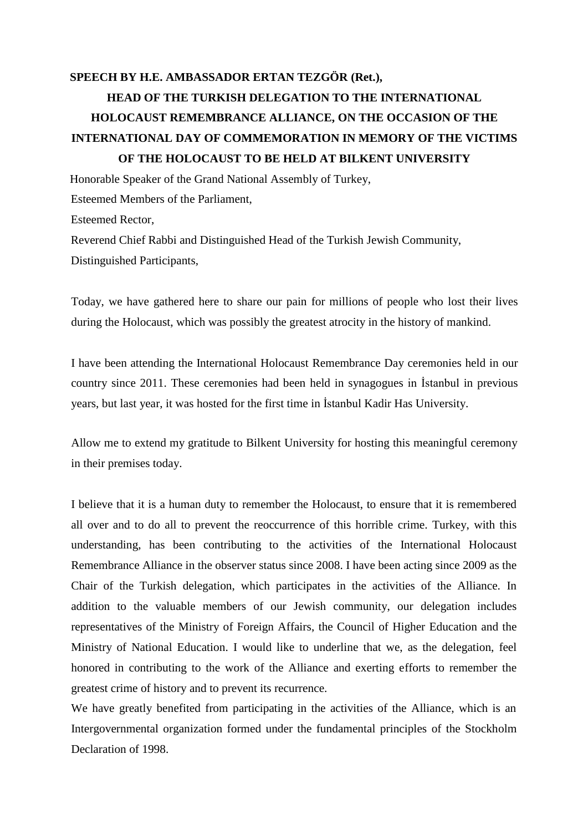# **SPEECH BY H.E. AMBASSADOR ERTAN TEZGÖR (Ret.), HEAD OF THE TURKISH DELEGATION TO THE INTERNATIONAL HOLOCAUST REMEMBRANCE ALLIANCE, ON THE OCCASION OF THE INTERNATIONAL DAY OF COMMEMORATION IN MEMORY OF THE VICTIMS OF THE HOLOCAUST TO BE HELD AT BILKENT UNIVERSITY**

Honorable Speaker of the Grand National Assembly of Turkey, Esteemed Members of the Parliament, Esteemed Rector, Reverend Chief Rabbi and Distinguished Head of the Turkish Jewish Community, Distinguished Participants,

Today, we have gathered here to share our pain for millions of people who lost their lives during the Holocaust, which was possibly the greatest atrocity in the history of mankind.

I have been attending the International Holocaust Remembrance Day ceremonies held in our country since 2011. These ceremonies had been held in synagogues in İstanbul in previous years, but last year, it was hosted for the first time in İstanbul Kadir Has University.

Allow me to extend my gratitude to Bilkent University for hosting this meaningful ceremony in their premises today.

I believe that it is a human duty to remember the Holocaust, to ensure that it is remembered all over and to do all to prevent the reoccurrence of this horrible crime. Turkey, with this understanding, has been contributing to the activities of the International Holocaust Remembrance Alliance in the observer status since 2008. I have been acting since 2009 as the Chair of the Turkish delegation, which participates in the activities of the Alliance. In addition to the valuable members of our Jewish community, our delegation includes representatives of the Ministry of Foreign Affairs, the Council of Higher Education and the Ministry of National Education. I would like to underline that we, as the delegation, feel honored in contributing to the work of the Alliance and exerting efforts to remember the greatest crime of history and to prevent its recurrence.

We have greatly benefited from participating in the activities of the Alliance, which is an Intergovernmental organization formed under the fundamental principles of the Stockholm Declaration of 1998.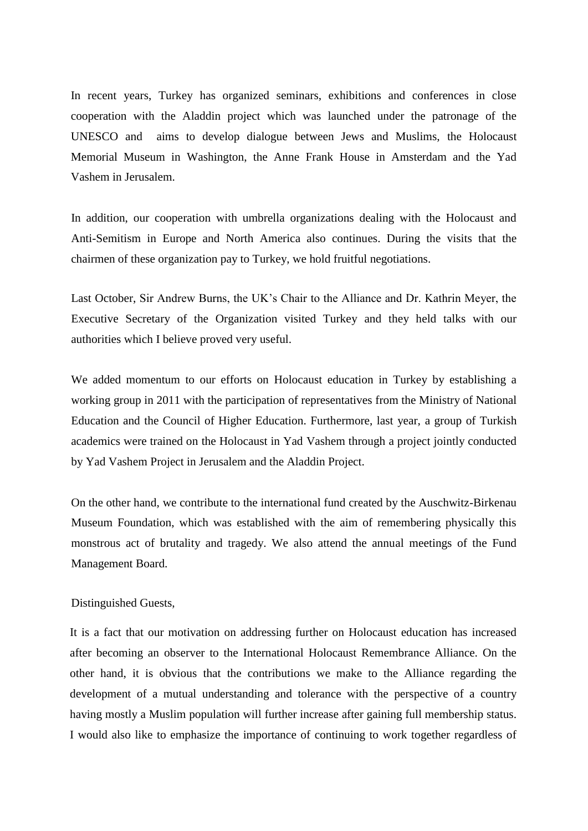In recent years, Turkey has organized seminars, exhibitions and conferences in close cooperation with the Aladdin project which was launched under the patronage of the UNESCO and aims to develop dialogue between Jews and Muslims, the Holocaust Memorial Museum in Washington, the Anne Frank House in Amsterdam and the Yad Vashem in Jerusalem.

In addition, our cooperation with umbrella organizations dealing with the Holocaust and Anti-Semitism in Europe and North America also continues. During the visits that the chairmen of these organization pay to Turkey, we hold fruitful negotiations.

Last October, Sir Andrew Burns, the UK's Chair to the Alliance and Dr. Kathrin Meyer, the Executive Secretary of the Organization visited Turkey and they held talks with our authorities which I believe proved very useful.

We added momentum to our efforts on Holocaust education in Turkey by establishing a working group in 2011 with the participation of representatives from the Ministry of National Education and the Council of Higher Education. Furthermore, last year, a group of Turkish academics were trained on the Holocaust in Yad Vashem through a project jointly conducted by Yad Vashem Project in Jerusalem and the Aladdin Project.

On the other hand, we contribute to the international fund created by the Auschwitz-Birkenau Museum Foundation, which was established with the aim of remembering physically this monstrous act of brutality and tragedy. We also attend the annual meetings of the Fund Management Board.

### Distinguished Guests,

It is a fact that our motivation on addressing further on Holocaust education has increased after becoming an observer to the International Holocaust Remembrance Alliance. On the other hand, it is obvious that the contributions we make to the Alliance regarding the development of a mutual understanding and tolerance with the perspective of a country having mostly a Muslim population will further increase after gaining full membership status. I would also like to emphasize the importance of continuing to work together regardless of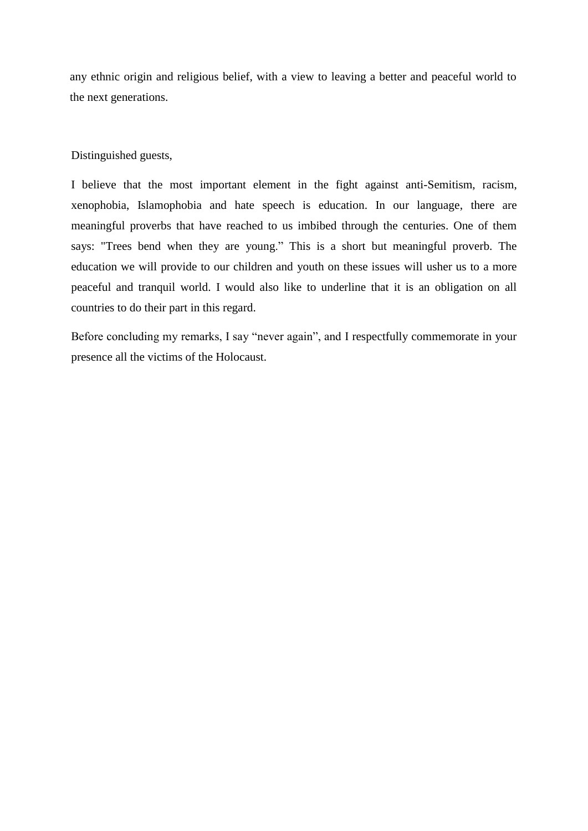any ethnic origin and religious belief, with a view to leaving a better and peaceful world to the next generations.

### Distinguished guests,

I believe that the most important element in the fight against anti-Semitism, racism, xenophobia, Islamophobia and hate speech is education. In our language, there are meaningful proverbs that have reached to us imbibed through the centuries. One of them says: "Trees bend when they are young." This is a short but meaningful proverb. The education we will provide to our children and youth on these issues will usher us to a more peaceful and tranquil world. I would also like to underline that it is an obligation on all countries to do their part in this regard.

Before concluding my remarks, I say "never again", and I respectfully commemorate in your presence all the victims of the Holocaust.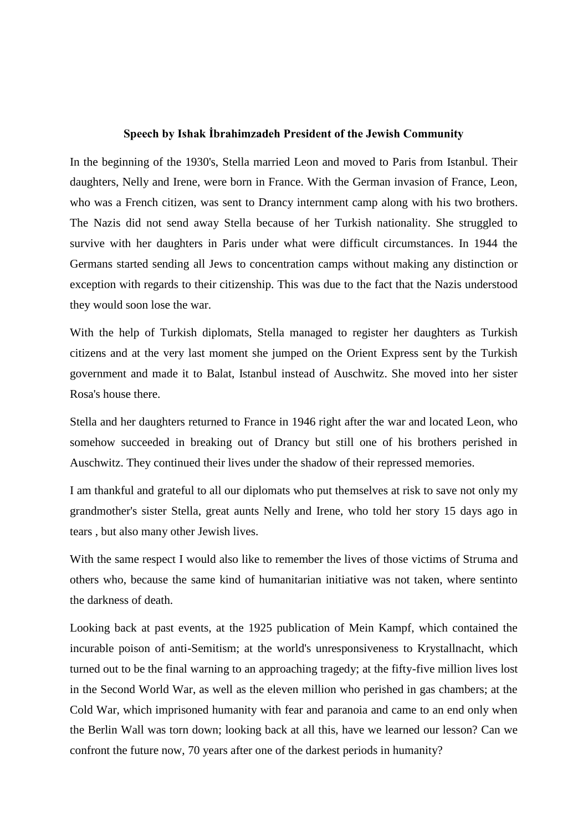### **Speech by Ishak İbrahimzadeh President of the Jewish Community**

In the beginning of the 1930's, Stella married Leon and moved to Paris from Istanbul. Their daughters, Nelly and Irene, were born in France. With the German invasion of France, Leon, who was a French citizen, was sent to Drancy internment camp along with his two brothers. The Nazis did not send away Stella because of her Turkish nationality. She struggled to survive with her daughters in Paris under what were difficult circumstances. In 1944 the Germans started sending all Jews to concentration camps without making any distinction or exception with regards to their citizenship. This was due to the fact that the Nazis understood they would soon lose the war.

With the help of Turkish diplomats, Stella managed to register her daughters as Turkish citizens and at the very last moment she jumped on the Orient Express sent by the Turkish government and made it to Balat, Istanbul instead of Auschwitz. She moved into her sister Rosa's house there.

Stella and her daughters returned to France in 1946 right after the war and located Leon, who somehow succeeded in breaking out of Drancy but still one of his brothers perished in Auschwitz. They continued their lives under the shadow of their repressed memories.

I am thankful and grateful to all our diplomats who put themselves at risk to save not only my grandmother's sister Stella, great aunts Nelly and Irene, who told her story 15 days ago in tears , but also many other Jewish lives.

With the same respect I would also like to remember the lives of those victims of Struma and others who, because the same kind of humanitarian initiative was not taken, where sentinto the darkness of death.

Looking back at past events, at the 1925 publication of Mein Kampf, which contained the incurable poison of anti-Semitism; at the world's unresponsiveness to Krystallnacht, which turned out to be the final warning to an approaching tragedy; at the fifty-five million lives lost in the Second World War, as well as the eleven million who perished in gas chambers; at the Cold War, which imprisoned humanity with fear and paranoia and came to an end only when the Berlin Wall was torn down; looking back at all this, have we learned our lesson? Can we confront the future now, 70 years after one of the darkest periods in humanity?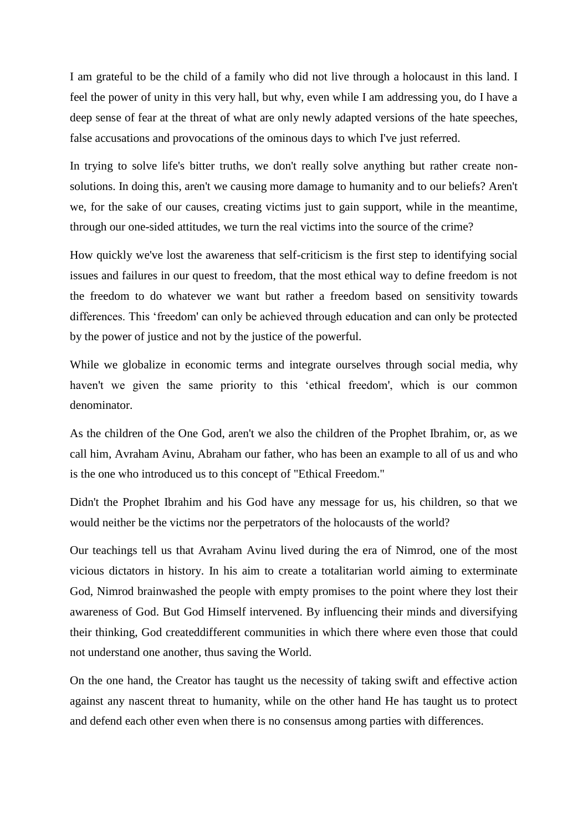I am grateful to be the child of a family who did not live through a holocaust in this land. I feel the power of unity in this very hall, but why, even while I am addressing you, do I have a deep sense of fear at the threat of what are only newly adapted versions of the hate speeches, false accusations and provocations of the ominous days to which I've just referred.

In trying to solve life's bitter truths, we don't really solve anything but rather create nonsolutions. In doing this, aren't we causing more damage to humanity and to our beliefs? Aren't we, for the sake of our causes, creating victims just to gain support, while in the meantime, through our one-sided attitudes, we turn the real victims into the source of the crime?

How quickly we've lost the awareness that self-criticism is the first step to identifying social issues and failures in our quest to freedom, that the most ethical way to define freedom is not the freedom to do whatever we want but rather a freedom based on sensitivity towards differences. This 'freedom' can only be achieved through education and can only be protected by the power of justice and not by the justice of the powerful.

While we globalize in economic terms and integrate ourselves through social media, why haven't we given the same priority to this 'ethical freedom', which is our common denominator.

As the children of the One God, aren't we also the children of the Prophet Ibrahim, or, as we call him, Avraham Avinu, Abraham our father, who has been an example to all of us and who is the one who introduced us to this concept of "Ethical Freedom."

Didn't the Prophet Ibrahim and his God have any message for us, his children, so that we would neither be the victims nor the perpetrators of the holocausts of the world?

Our teachings tell us that Avraham Avinu lived during the era of Nimrod, one of the most vicious dictators in history. In his aim to create a totalitarian world aiming to exterminate God, Nimrod brainwashed the people with empty promises to the point where they lost their awareness of God. But God Himself intervened. By influencing their minds and diversifying their thinking, God createddifferent communities in which there where even those that could not understand one another, thus saving the World.

On the one hand, the Creator has taught us the necessity of taking swift and effective action against any nascent threat to humanity, while on the other hand He has taught us to protect and defend each other even when there is no consensus among parties with differences.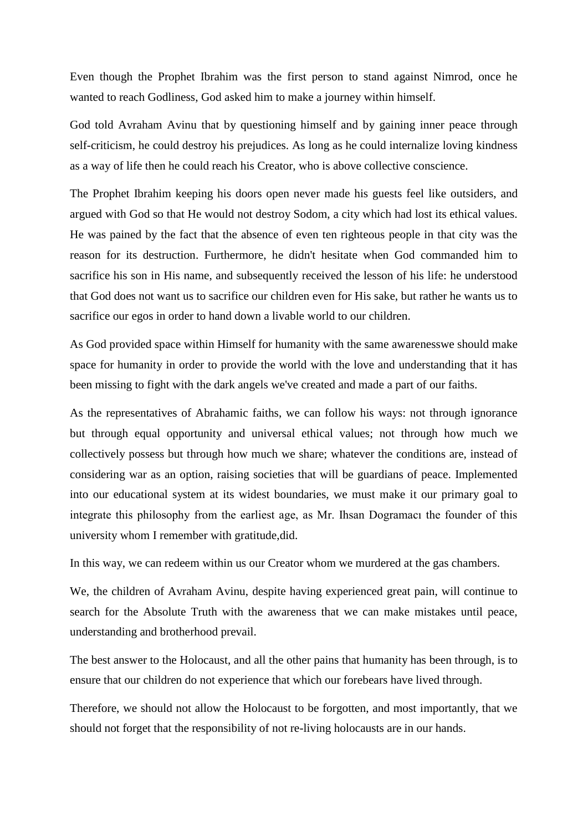Even though the Prophet Ibrahim was the first person to stand against Nimrod, once he wanted to reach Godliness, God asked him to make a journey within himself.

God told Avraham Avinu that by questioning himself and by gaining inner peace through self-criticism, he could destroy his prejudices. As long as he could internalize loving kindness as a way of life then he could reach his Creator, who is above collective conscience.

The Prophet Ibrahim keeping his doors open never made his guests feel like outsiders, and argued with God so that He would not destroy Sodom, a city which had lost its ethical values. He was pained by the fact that the absence of even ten righteous people in that city was the reason for its destruction. Furthermore, he didn't hesitate when God commanded him to sacrifice his son in His name, and subsequently received the lesson of his life: he understood that God does not want us to sacrifice our children even for His sake, but rather he wants us to sacrifice our egos in order to hand down a livable world to our children.

As God provided space within Himself for humanity with the same awarenesswe should make space for humanity in order to provide the world with the love and understanding that it has been missing to fight with the dark angels we've created and made a part of our faiths.

As the representatives of Abrahamic faiths, we can follow his ways: not through ignorance but through equal opportunity and universal ethical values; not through how much we collectively possess but through how much we share; whatever the conditions are, instead of considering war as an option, raising societies that will be guardians of peace. Implemented into our educational system at its widest boundaries, we must make it our primary goal to integrate this philosophy from the earliest age, as Mr. Ihsan Dogramacı the founder of this university whom I remember with gratitude,did.

In this way, we can redeem within us our Creator whom we murdered at the gas chambers.

We, the children of Avraham Avinu, despite having experienced great pain, will continue to search for the Absolute Truth with the awareness that we can make mistakes until peace, understanding and brotherhood prevail.

The best answer to the Holocaust, and all the other pains that humanity has been through, is to ensure that our children do not experience that which our forebears have lived through.

Therefore, we should not allow the Holocaust to be forgotten, and most importantly, that we should not forget that the responsibility of not re-living holocausts are in our hands.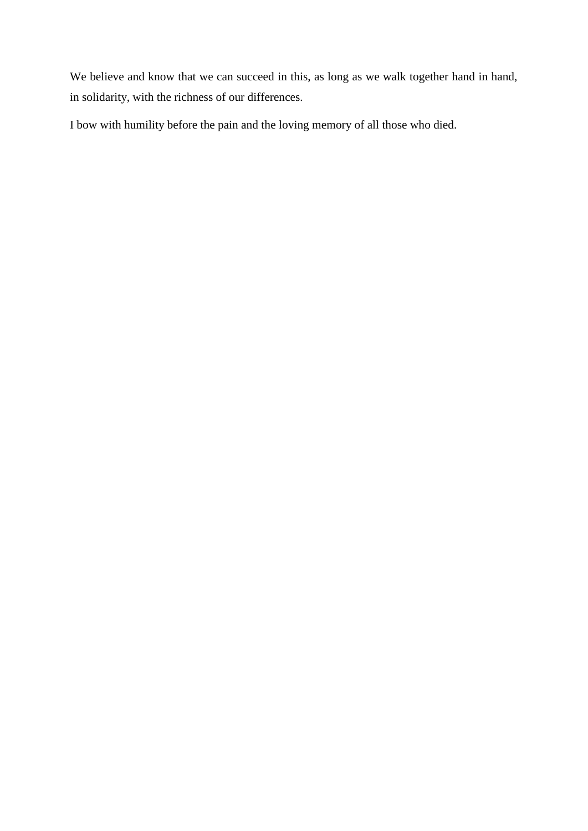We believe and know that we can succeed in this, as long as we walk together hand in hand, in solidarity, with the richness of our differences.

I bow with humility before the pain and the loving memory of all those who died.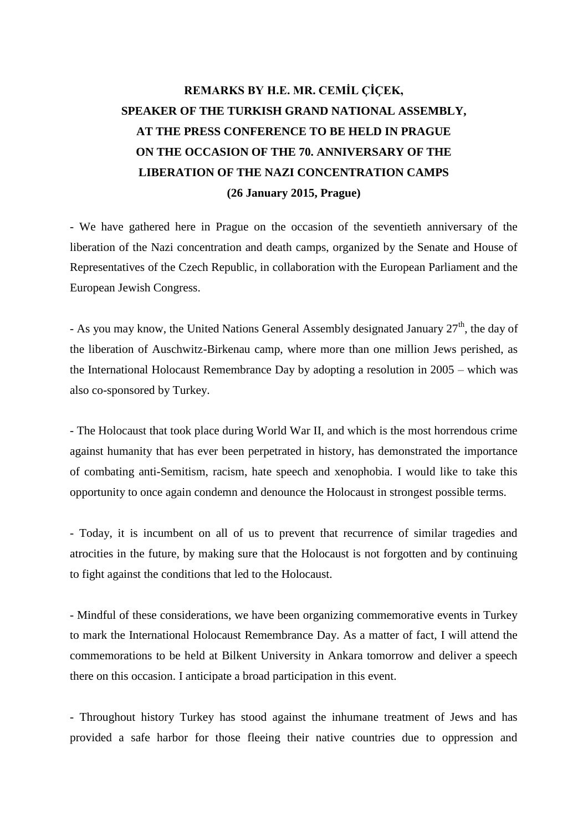# **REMARKS BY H.E. MR. CEMİL ÇİÇEK, SPEAKER OF THE TURKISH GRAND NATIONAL ASSEMBLY, AT THE PRESS CONFERENCE TO BE HELD IN PRAGUE ON THE OCCASION OF THE 70. ANNIVERSARY OF THE LIBERATION OF THE NAZI CONCENTRATION CAMPS (26 January 2015, Prague)**

- We have gathered here in Prague on the occasion of the seventieth anniversary of the liberation of the Nazi concentration and death camps, organized by the Senate and House of Representatives of the Czech Republic, in collaboration with the European Parliament and the European Jewish Congress.

- As you may know, the United Nations General Assembly designated January  $27<sup>th</sup>$ , the day of the liberation of Auschwitz-Birkenau camp, where more than one million Jews perished, as the International Holocaust Remembrance Day by adopting a resolution in 2005 – which was also co-sponsored by Turkey.

- The Holocaust that took place during World War II, and which is the most horrendous crime against humanity that has ever been perpetrated in history, has demonstrated the importance of combating anti-Semitism, racism, hate speech and xenophobia. I would like to take this opportunity to once again condemn and denounce the Holocaust in strongest possible terms.

- Today, it is incumbent on all of us to prevent that recurrence of similar tragedies and atrocities in the future, by making sure that the Holocaust is not forgotten and by continuing to fight against the conditions that led to the Holocaust.

- Mindful of these considerations, we have been organizing commemorative events in Turkey to mark the International Holocaust Remembrance Day. As a matter of fact, I will attend the commemorations to be held at Bilkent University in Ankara tomorrow and deliver a speech there on this occasion. I anticipate a broad participation in this event.

- Throughout history Turkey has stood against the inhumane treatment of Jews and has provided a safe harbor for those fleeing their native countries due to oppression and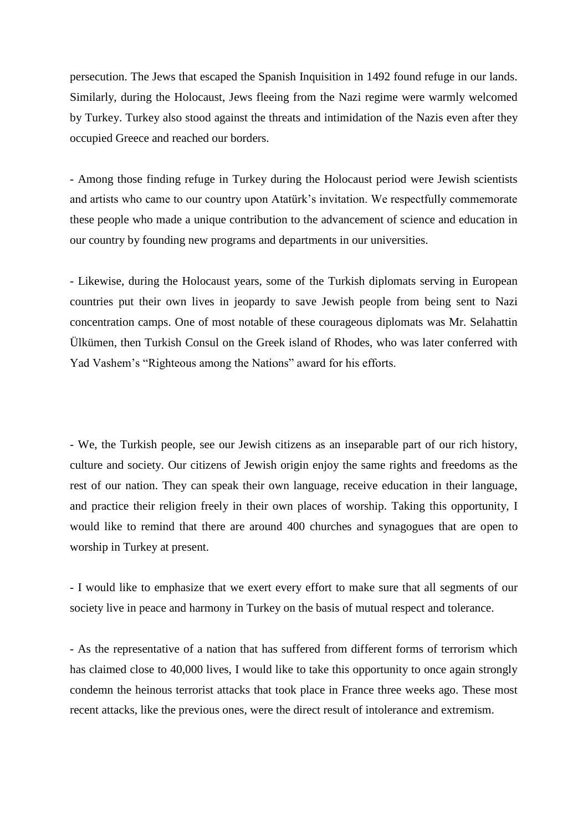persecution. The Jews that escaped the Spanish Inquisition in 1492 found refuge in our lands. Similarly, during the Holocaust, Jews fleeing from the Nazi regime were warmly welcomed by Turkey. Turkey also stood against the threats and intimidation of the Nazis even after they occupied Greece and reached our borders.

- Among those finding refuge in Turkey during the Holocaust period were Jewish scientists and artists who came to our country upon Atatürk's invitation. We respectfully commemorate these people who made a unique contribution to the advancement of science and education in our country by founding new programs and departments in our universities.

- Likewise, during the Holocaust years, some of the Turkish diplomats serving in European countries put their own lives in jeopardy to save Jewish people from being sent to Nazi concentration camps. One of most notable of these courageous diplomats was Mr. Selahattin Ülkümen, then Turkish Consul on the Greek island of Rhodes, who was later conferred with Yad Vashem's "Righteous among the Nations" award for his efforts.

- We, the Turkish people, see our Jewish citizens as an inseparable part of our rich history, culture and society. Our citizens of Jewish origin enjoy the same rights and freedoms as the rest of our nation. They can speak their own language, receive education in their language, and practice their religion freely in their own places of worship. Taking this opportunity, I would like to remind that there are around 400 churches and synagogues that are open to worship in Turkey at present.

- I would like to emphasize that we exert every effort to make sure that all segments of our society live in peace and harmony in Turkey on the basis of mutual respect and tolerance.

- As the representative of a nation that has suffered from different forms of terrorism which has claimed close to 40,000 lives, I would like to take this opportunity to once again strongly condemn the heinous terrorist attacks that took place in France three weeks ago. These most recent attacks, like the previous ones, were the direct result of intolerance and extremism.